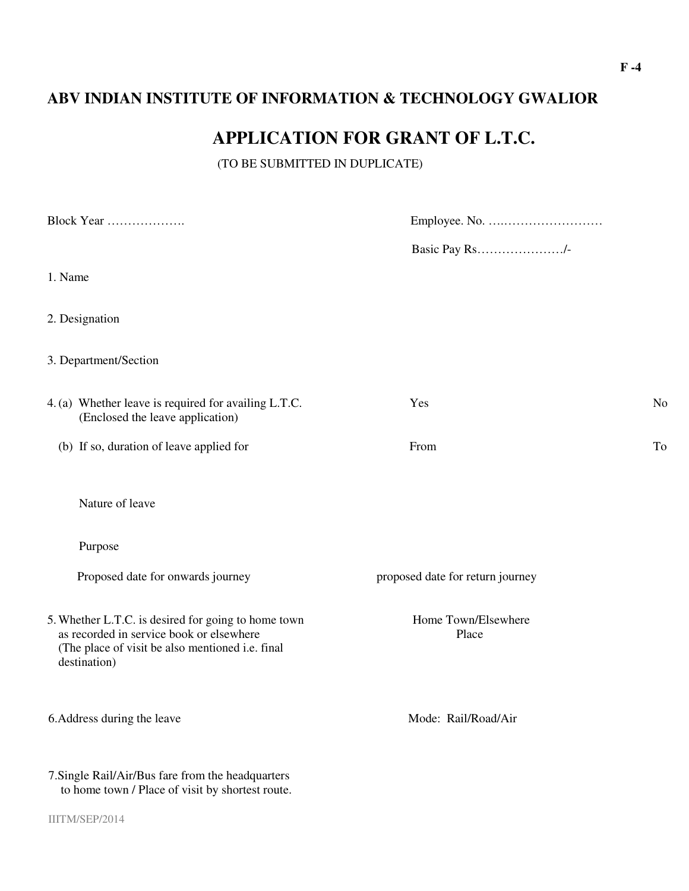# **ABV INDIAN INSTITUTE OF INFORMATION & TECHNOLOGY GWALIOR**

# **APPLICATION FOR GRANT OF L.T.C.**

(TO BE SUBMITTED IN DUPLICATE)

| Block Year                                                                                                                                                          |                                  |    |
|---------------------------------------------------------------------------------------------------------------------------------------------------------------------|----------------------------------|----|
|                                                                                                                                                                     | Basic Pay Rs/-                   |    |
| 1. Name                                                                                                                                                             |                                  |    |
| 2. Designation                                                                                                                                                      |                                  |    |
| 3. Department/Section                                                                                                                                               |                                  |    |
| 4. (a) Whether leave is required for availing L.T.C.<br>(Enclosed the leave application)                                                                            | Yes                              | No |
| (b) If so, duration of leave applied for                                                                                                                            | From                             | To |
| Nature of leave                                                                                                                                                     |                                  |    |
| Purpose                                                                                                                                                             |                                  |    |
| Proposed date for onwards journey                                                                                                                                   | proposed date for return journey |    |
| 5. Whether L.T.C. is desired for going to home town<br>as recorded in service book or elsewhere<br>(The place of visit be also mentioned i.e. final<br>destination) | Home Town/Elsewhere<br>Place     |    |
| 6. Address during the leave                                                                                                                                         | Mode: Rail/Road/Air              |    |
| 7. Single Rail/Air/Bus fare from the headquarters<br>to home town / Place of visit by shortest route.                                                               |                                  |    |
| IIITM/SEP/2014                                                                                                                                                      |                                  |    |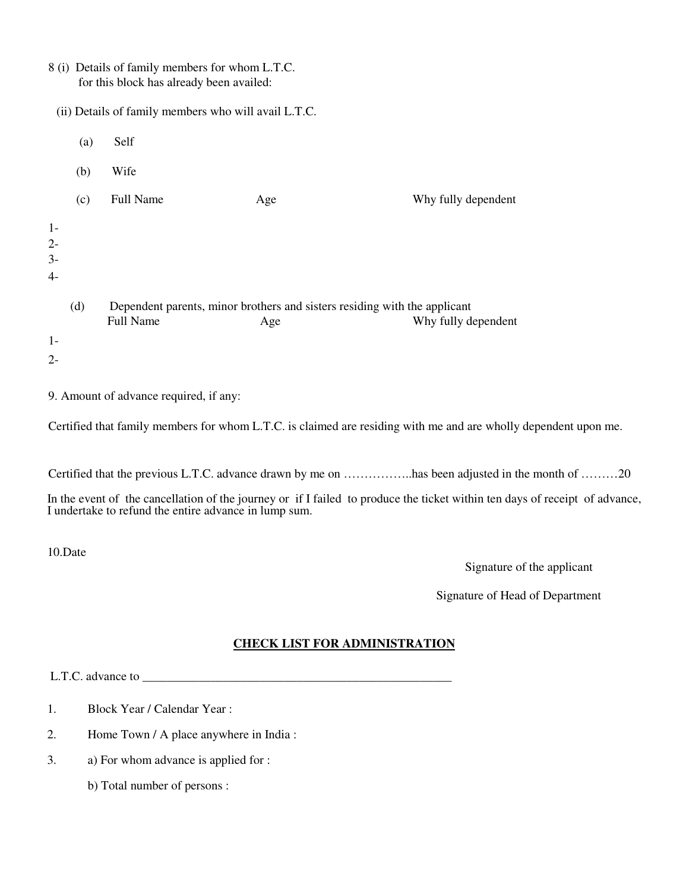|                                                      | 8 (i) Details of family members for whom L.T.C.<br>for this block has already been availed: |                  |                                                                                  |                     |  |  |  |
|------------------------------------------------------|---------------------------------------------------------------------------------------------|------------------|----------------------------------------------------------------------------------|---------------------|--|--|--|
| (ii) Details of family members who will avail L.T.C. |                                                                                             |                  |                                                                                  |                     |  |  |  |
|                                                      | (a)                                                                                         | Self             |                                                                                  |                     |  |  |  |
|                                                      | (b)                                                                                         | Wife             |                                                                                  |                     |  |  |  |
|                                                      | (c)                                                                                         | <b>Full Name</b> | Age                                                                              | Why fully dependent |  |  |  |
| $1-$<br>$2 -$<br>$3-$<br>$4-$                        |                                                                                             |                  |                                                                                  |                     |  |  |  |
|                                                      | (d)                                                                                         | <b>Full Name</b> | Dependent parents, minor brothers and sisters residing with the applicant<br>Age | Why fully dependent |  |  |  |
| $1-$                                                 |                                                                                             |                  |                                                                                  |                     |  |  |  |
| $2 -$                                                |                                                                                             |                  |                                                                                  |                     |  |  |  |

9. Amount of advance required, if any:

Certified that family members for whom L.T.C. is claimed are residing with me and are wholly dependent upon me.

Certified that the previous L.T.C. advance drawn by me on ……………..has been adjusted in the month of ………20

In the event of the cancellation of the journey or if I failed to produce the ticket within ten days of receipt of advance, I undertake to refund the entire advance in lump sum.

10.Date

Signature of the applicant

Signature of Head of Department

## **CHECK LIST FOR ADMINISTRATION**

L.T.C. advance to \_\_\_\_\_\_\_\_\_\_\_\_\_\_\_\_\_\_\_\_\_\_\_\_\_\_\_\_\_\_\_\_\_\_\_\_\_\_\_\_\_\_\_\_\_\_\_\_\_\_

- 1. Block Year / Calendar Year :
- 2. Home Town / A place anywhere in India :
- 3. a) For whom advance is applied for :
	- b) Total number of persons :